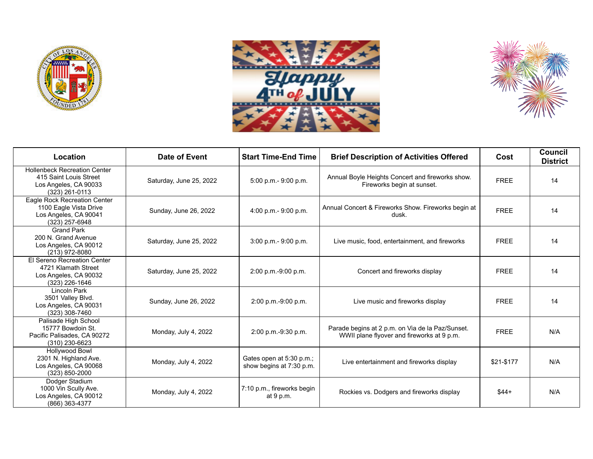





| Location                                                                                                 | Date of Event           | <b>Start Time-End Time</b>                           | <b>Brief Description of Activities Offered</b>                                                 | Cost        | Council<br><b>District</b> |
|----------------------------------------------------------------------------------------------------------|-------------------------|------------------------------------------------------|------------------------------------------------------------------------------------------------|-------------|----------------------------|
| <b>Hollenbeck Recreation Center</b><br>415 Saint Louis Street<br>Los Angeles, CA 90033<br>(323) 261-0113 | Saturday, June 25, 2022 | 5:00 p.m.- 9:00 p.m.                                 | Annual Boyle Heights Concert and fireworks show.<br>Fireworks begin at sunset.                 | <b>FREE</b> | 14                         |
| Eagle Rock Recreation Center<br>1100 Eagle Vista Drive<br>Los Angeles, CA 90041<br>(323) 257-6948        | Sunday, June 26, 2022   | $4:00$ p.m.- 9:00 p.m.                               | Annual Concert & Fireworks Show. Fireworks begin at<br>dusk.                                   | <b>FREE</b> | 14                         |
| <b>Grand Park</b><br>200 N. Grand Avenue<br>Los Angeles, CA 90012<br>(213) 972-8080                      | Saturday, June 25, 2022 | $3:00$ p.m. $-9:00$ p.m.                             | Live music, food, entertainment, and fireworks                                                 | <b>FREE</b> | 14                         |
| El Sereno Recreation Center<br>4721 Klamath Street<br>Los Angeles, CA 90032<br>(323) 226-1646            | Saturday, June 25, 2022 | 2:00 p.m.-9:00 p.m.                                  | Concert and fireworks display                                                                  | <b>FREE</b> | 14                         |
| Lincoln Park<br>3501 Valley Blvd.<br>Los Angeles, CA 90031<br>(323) 308-7460                             | Sunday, June 26, 2022   | 2:00 p.m.-9:00 p.m.                                  | Live music and fireworks display                                                               | <b>FREE</b> | 14                         |
| Palisade High School<br>15777 Bowdoin St.<br>Pacific Palisades, CA 90272<br>$(310)$ 230-6623             | Monday, July 4, 2022    | 2:00 p.m.-9:30 p.m.                                  | Parade begins at 2 p.m. on Via de la Paz/Sunset.<br>WWII plane flyover and fireworks at 9 p.m. | <b>FREE</b> | N/A                        |
| <b>Hollywood Bowl</b><br>2301 N. Highland Ave.<br>Los Angeles, CA 90068<br>(323) 850-2000                | Monday, July 4, 2022    | Gates open at 5:30 p.m.;<br>show begins at 7:30 p.m. | Live entertainment and fireworks display                                                       | \$21-\$177  | N/A                        |
| Dodger Stadium<br>1000 Vin Scully Ave.<br>Los Angeles, CA 90012<br>(866) 363-4377                        | Monday, July 4, 2022    | 7:10 p.m., fireworks begin<br>at 9 p.m.              | Rockies vs. Dodgers and fireworks display                                                      | $$44+$      | N/A                        |